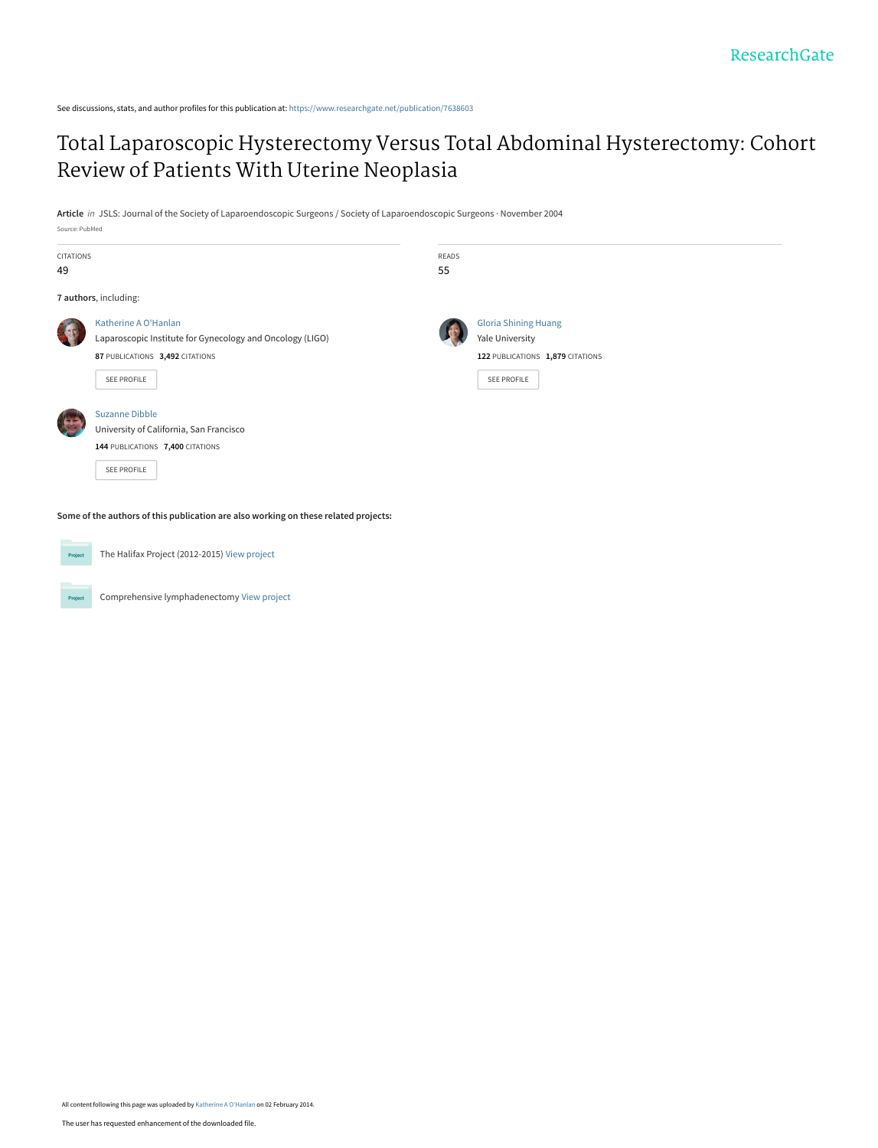See discussions, stats, and author profiles for this publication at: [https://www.researchgate.net/publication/7638603](https://www.researchgate.net/publication/7638603_Total_Laparoscopic_Hysterectomy_Versus_Total_Abdominal_Hysterectomy_Cohort_Review_of_Patients_With_Uterine_Neoplasia?enrichId=rgreq-9257e4442252127702828d4e5042b3d6-XXX&enrichSource=Y292ZXJQYWdlOzc2Mzg2MDM7QVM6MTA0Mjc3NDM1NDg2MjExQDE0MDE4NzMwODY0MTM%3D&el=1_x_2&_esc=publicationCoverPdf)

## [Total Laparoscopic Hysterectomy Versus Total Abdominal Hysterectomy: Cohort](https://www.researchgate.net/publication/7638603_Total_Laparoscopic_Hysterectomy_Versus_Total_Abdominal_Hysterectomy_Cohort_Review_of_Patients_With_Uterine_Neoplasia?enrichId=rgreq-9257e4442252127702828d4e5042b3d6-XXX&enrichSource=Y292ZXJQYWdlOzc2Mzg2MDM7QVM6MTA0Mjc3NDM1NDg2MjExQDE0MDE4NzMwODY0MTM%3D&el=1_x_3&_esc=publicationCoverPdf) Review of Patients With Uterine Neoplasia

**Article** in JSLS: Journal of the Society of Laparoendoscopic Surgeons / Society of Laparoendoscopic Surgeons · November 2004

| <b>CITATIONS</b><br>49 |                                                                                                                                     | READS<br>55 |                                                                                                   |  |
|------------------------|-------------------------------------------------------------------------------------------------------------------------------------|-------------|---------------------------------------------------------------------------------------------------|--|
|                        | 7 authors, including:                                                                                                               |             |                                                                                                   |  |
|                        | Katherine A O'Hanlan<br>Laparoscopic Institute for Gynecology and Oncology (LIGO)<br>87 PUBLICATIONS 3,492 CITATIONS<br>SEE PROFILE |             | <b>Gloria Shining Huang</b><br>Yale University<br>122 PUBLICATIONS 1,879 CITATIONS<br>SEE PROFILE |  |
|                        | <b>Suzanne Dibble</b><br>University of California, San Francisco<br>144 PUBLICATIONS 7,400 CITATIONS<br>SEE PROFILE                 |             |                                                                                                   |  |
|                        | Some of the authors of this publication are also working on these related projects:                                                 |             |                                                                                                   |  |



Project

Source: PubMed

The Halifax Project (2012-2015) [View project](https://www.researchgate.net/project/The-Halifax-Project-2012-2015?enrichId=rgreq-9257e4442252127702828d4e5042b3d6-XXX&enrichSource=Y292ZXJQYWdlOzc2Mzg2MDM7QVM6MTA0Mjc3NDM1NDg2MjExQDE0MDE4NzMwODY0MTM%3D&el=1_x_9&_esc=publicationCoverPdf)

Comprehensive lymphadenectomy [View project](https://www.researchgate.net/project/Comprehensive-lymphadenectomy?enrichId=rgreq-9257e4442252127702828d4e5042b3d6-XXX&enrichSource=Y292ZXJQYWdlOzc2Mzg2MDM7QVM6MTA0Mjc3NDM1NDg2MjExQDE0MDE4NzMwODY0MTM%3D&el=1_x_9&_esc=publicationCoverPdf)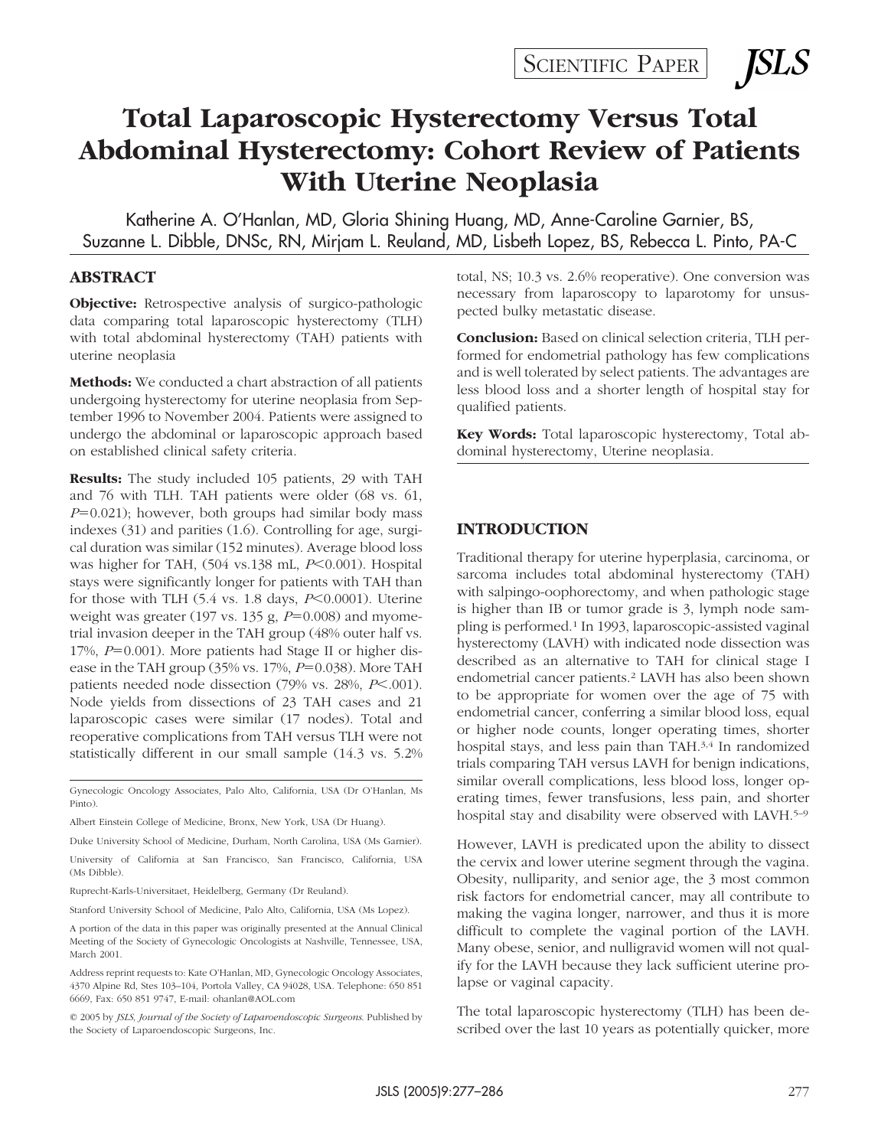*SLS* 

# **Total Laparoscopic Hysterectomy Versus Total Abdominal Hysterectomy: Cohort Review of Patients With Uterine Neoplasia**

Katherine A. O'Hanlan, MD, Gloria Shining Huang, MD, Anne-Caroline Garnier, BS, Suzanne L. Dibble, DNSc, RN, Mirjam L. Reuland, MD, Lisbeth Lopez, BS, Rebecca L. Pinto, PA-C

#### **ABSTRACT**

**Objective:** Retrospective analysis of surgico-pathologic data comparing total laparoscopic hysterectomy (TLH) with total abdominal hysterectomy (TAH) patients with uterine neoplasia

**Methods:** We conducted a chart abstraction of all patients undergoing hysterectomy for uterine neoplasia from September 1996 to November 2004. Patients were assigned to undergo the abdominal or laparoscopic approach based on established clinical safety criteria.

**Results:** The study included 105 patients, 29 with TAH and 76 with TLH. TAH patients were older (68 vs. 61,  $P=0.021$ ); however, both groups had similar body mass indexes (31) and parities (1.6). Controlling for age, surgical duration was similar (152 minutes). Average blood loss was higher for TAH, (504 vs.138 mL, *P*<0.001). Hospital stays were significantly longer for patients with TAH than for those with TLH (5.4 vs. 1.8 days, *P*<0.0001). Uterine weight was greater (197 vs. 135 g,  $P=0.008$ ) and myometrial invasion deeper in the TAH group (48% outer half vs. 17%,  $P=0.001$ ). More patients had Stage II or higher disease in the TAH group ( $35\%$  vs.  $17\%, P=0.038$ ). More TAH patients needed node dissection (79% vs. 28%, P<.001). Node yields from dissections of 23 TAH cases and 21 laparoscopic cases were similar (17 nodes). Total and reoperative complications from TAH versus TLH were not statistically different in our small sample (14.3 vs. 5.2%

Gynecologic Oncology Associates, Palo Alto, California, USA (Dr O'Hanlan, Ms Pinto).

Duke University School of Medicine, Durham, North Carolina, USA (Ms Garnier).

A portion of the data in this paper was originally presented at the Annual Clinical Meeting of the Society of Gynecologic Oncologists at Nashville, Tennessee, USA, March 2001.

© 2005 by *JSLS, Journal of the Society of Laparoendoscopic Surgeons*. Published by the Society of Laparoendoscopic Surgeons, Inc.

total, NS; 10.3 vs. 2.6% reoperative). One conversion was necessary from laparoscopy to laparotomy for unsuspected bulky metastatic disease.

**Conclusion:** Based on clinical selection criteria, TLH performed for endometrial pathology has few complications and is well tolerated by select patients. The advantages are less blood loss and a shorter length of hospital stay for qualified patients.

**Key Words:** Total laparoscopic hysterectomy, Total abdominal hysterectomy, Uterine neoplasia.

#### **INTRODUCTION**

Traditional therapy for uterine hyperplasia, carcinoma, or sarcoma includes total abdominal hysterectomy (TAH) with salpingo-oophorectomy, and when pathologic stage is higher than IB or tumor grade is 3, lymph node sampling is performed.1 In 1993, laparoscopic-assisted vaginal hysterectomy (LAVH) with indicated node dissection was described as an alternative to TAH for clinical stage I endometrial cancer patients.2 LAVH has also been shown to be appropriate for women over the age of 75 with endometrial cancer, conferring a similar blood loss, equal or higher node counts, longer operating times, shorter hospital stays, and less pain than TAH.<sup>3,4</sup> In randomized trials comparing TAH versus LAVH for benign indications, similar overall complications, less blood loss, longer operating times, fewer transfusions, less pain, and shorter hospital stay and disability were observed with LAVH.<sup>5–9</sup>

However, LAVH is predicated upon the ability to dissect the cervix and lower uterine segment through the vagina. Obesity, nulliparity, and senior age, the 3 most common risk factors for endometrial cancer, may all contribute to making the vagina longer, narrower, and thus it is more difficult to complete the vaginal portion of the LAVH. Many obese, senior, and nulligravid women will not qualify for the LAVH because they lack sufficient uterine prolapse or vaginal capacity.

The total laparoscopic hysterectomy (TLH) has been described over the last 10 years as potentially quicker, more

Albert Einstein College of Medicine, Bronx, New York, USA (Dr Huang).

University of California at San Francisco, San Francisco, California, USA (Ms Dibble).

Ruprecht-Karls-Universitaet, Heidelberg, Germany (Dr Reuland).

Stanford University School of Medicine, Palo Alto, California, USA (Ms Lopez).

Address reprint requests to: Kate O'Hanlan, MD, Gynecologic Oncology Associates, 4370 Alpine Rd, Stes 103–104, Portola Valley, CA 94028, USA. Telephone: 650 851 6669, Fax: 650 851 9747, E-mail: ohanlan@AOL.com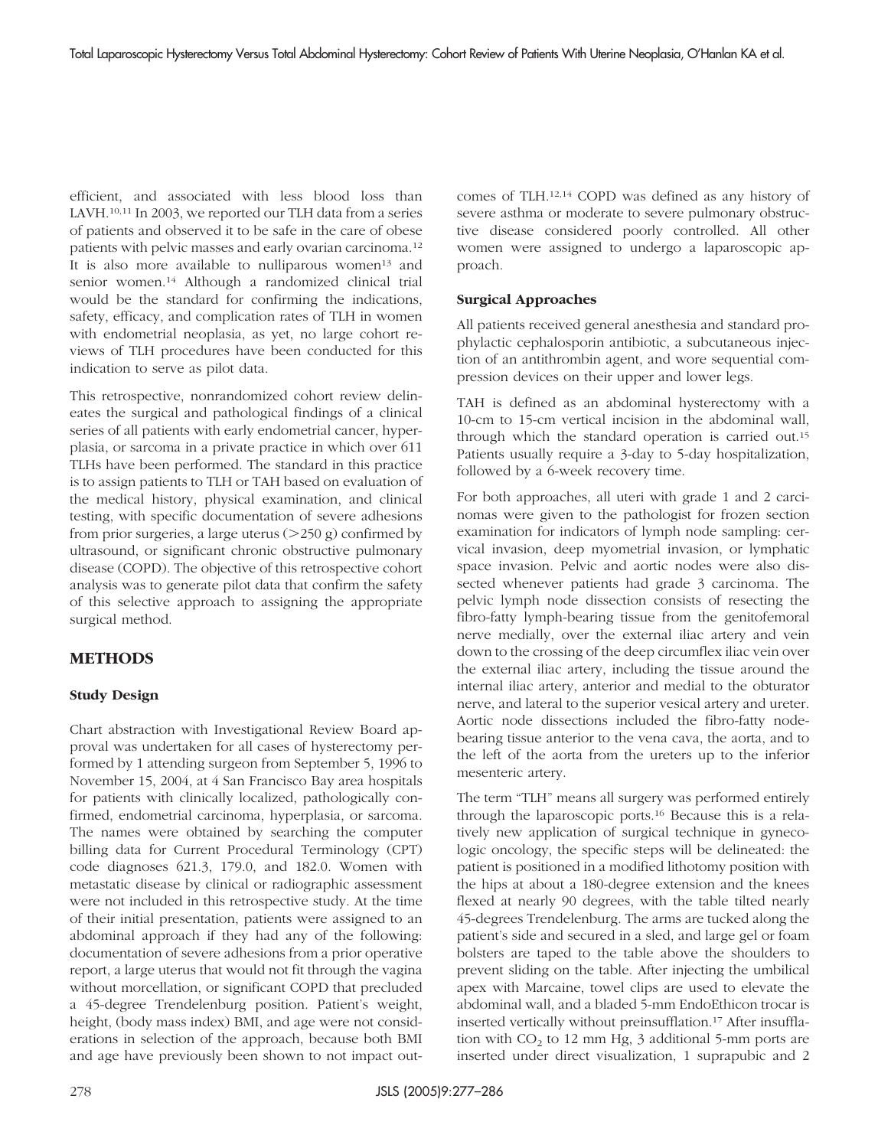efficient, and associated with less blood loss than LAVH.<sup>10,11</sup> In 2003, we reported our TLH data from a series of patients and observed it to be safe in the care of obese patients with pelvic masses and early ovarian carcinoma.12 It is also more available to nulliparous women<sup>13</sup> and senior women.14 Although a randomized clinical trial would be the standard for confirming the indications, safety, efficacy, and complication rates of TLH in women with endometrial neoplasia, as yet, no large cohort reviews of TLH procedures have been conducted for this indication to serve as pilot data.

This retrospective, nonrandomized cohort review delineates the surgical and pathological findings of a clinical series of all patients with early endometrial cancer, hyperplasia, or sarcoma in a private practice in which over 611 TLHs have been performed. The standard in this practice is to assign patients to TLH or TAH based on evaluation of the medical history, physical examination, and clinical testing, with specific documentation of severe adhesions from prior surgeries, a large uterus  $(>250 \text{ g})$  confirmed by ultrasound, or significant chronic obstructive pulmonary disease (COPD). The objective of this retrospective cohort analysis was to generate pilot data that confirm the safety of this selective approach to assigning the appropriate surgical method.

## **METHODS**

## **Study Design**

Chart abstraction with Investigational Review Board approval was undertaken for all cases of hysterectomy performed by 1 attending surgeon from September 5, 1996 to November 15, 2004, at 4 San Francisco Bay area hospitals for patients with clinically localized, pathologically confirmed, endometrial carcinoma, hyperplasia, or sarcoma. The names were obtained by searching the computer billing data for Current Procedural Terminology (CPT) code diagnoses 621.3, 179.0, and 182.0. Women with metastatic disease by clinical or radiographic assessment were not included in this retrospective study. At the time of their initial presentation, patients were assigned to an abdominal approach if they had any of the following: documentation of severe adhesions from a prior operative report, a large uterus that would not fit through the vagina without morcellation, or significant COPD that precluded a 45-degree Trendelenburg position. Patient's weight, height, (body mass index) BMI, and age were not considerations in selection of the approach, because both BMI and age have previously been shown to not impact outcomes of TLH.12,14 COPD was defined as any history of severe asthma or moderate to severe pulmonary obstructive disease considered poorly controlled. All other women were assigned to undergo a laparoscopic approach.

#### **Surgical Approaches**

All patients received general anesthesia and standard prophylactic cephalosporin antibiotic, a subcutaneous injection of an antithrombin agent, and wore sequential compression devices on their upper and lower legs.

TAH is defined as an abdominal hysterectomy with a 10-cm to 15-cm vertical incision in the abdominal wall, through which the standard operation is carried out.15 Patients usually require a 3-day to 5-day hospitalization, followed by a 6-week recovery time.

For both approaches, all uteri with grade 1 and 2 carcinomas were given to the pathologist for frozen section examination for indicators of lymph node sampling: cervical invasion, deep myometrial invasion, or lymphatic space invasion. Pelvic and aortic nodes were also dissected whenever patients had grade 3 carcinoma. The pelvic lymph node dissection consists of resecting the fibro-fatty lymph-bearing tissue from the genitofemoral nerve medially, over the external iliac artery and vein down to the crossing of the deep circumflex iliac vein over the external iliac artery, including the tissue around the internal iliac artery, anterior and medial to the obturator nerve, and lateral to the superior vesical artery and ureter. Aortic node dissections included the fibro-fatty nodebearing tissue anterior to the vena cava, the aorta, and to the left of the aorta from the ureters up to the inferior mesenteric artery.

The term "TLH" means all surgery was performed entirely through the laparoscopic ports.16 Because this is a relatively new application of surgical technique in gynecologic oncology, the specific steps will be delineated: the patient is positioned in a modified lithotomy position with the hips at about a 180-degree extension and the knees flexed at nearly 90 degrees, with the table tilted nearly 45-degrees Trendelenburg. The arms are tucked along the patient's side and secured in a sled, and large gel or foam bolsters are taped to the table above the shoulders to prevent sliding on the table. After injecting the umbilical apex with Marcaine, towel clips are used to elevate the abdominal wall, and a bladed 5-mm EndoEthicon trocar is inserted vertically without preinsufflation.17 After insufflation with  $CO<sub>2</sub>$  to 12 mm Hg, 3 additional 5-mm ports are inserted under direct visualization, 1 suprapubic and 2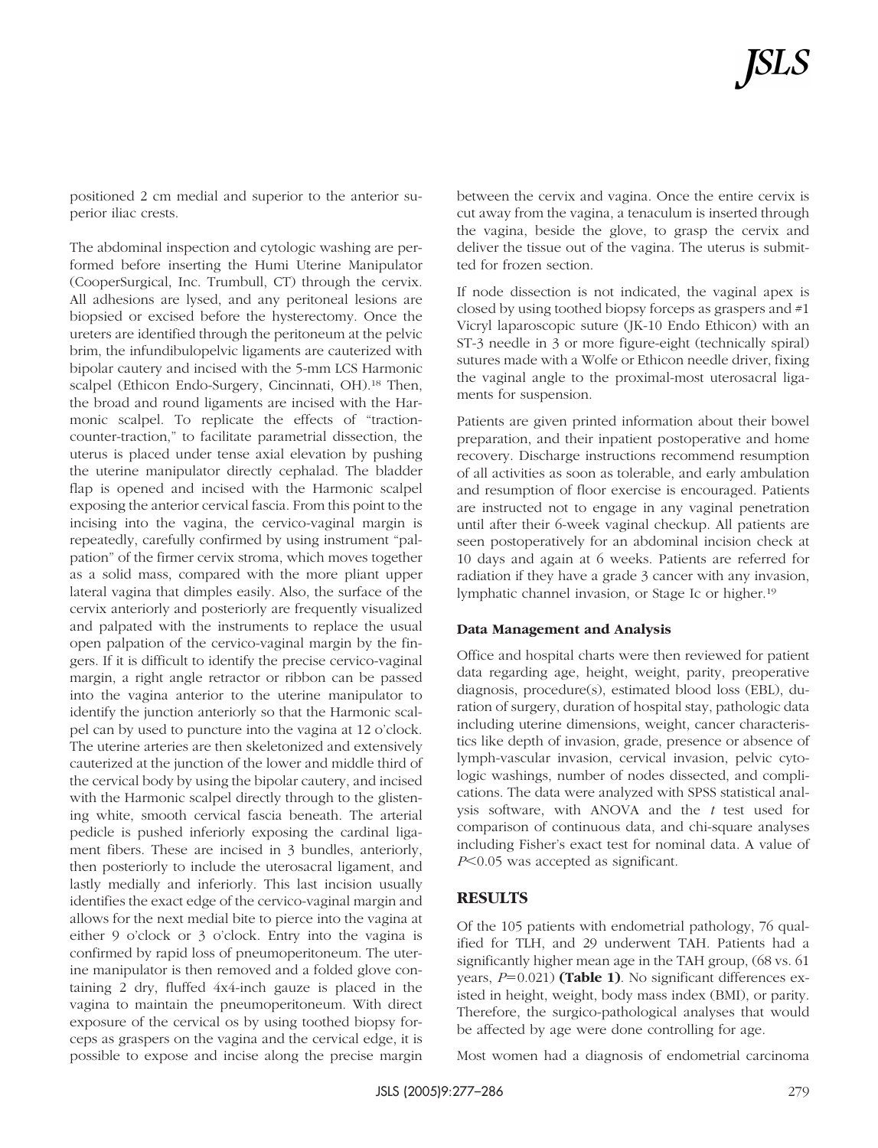positioned 2 cm medial and superior to the anterior superior iliac crests.

The abdominal inspection and cytologic washing are performed before inserting the Humi Uterine Manipulator (CooperSurgical, Inc. Trumbull, CT) through the cervix. All adhesions are lysed, and any peritoneal lesions are biopsied or excised before the hysterectomy. Once the ureters are identified through the peritoneum at the pelvic brim, the infundibulopelvic ligaments are cauterized with bipolar cautery and incised with the 5-mm LCS Harmonic scalpel (Ethicon Endo-Surgery, Cincinnati, OH).18 Then, the broad and round ligaments are incised with the Harmonic scalpel. To replicate the effects of "tractioncounter-traction," to facilitate parametrial dissection, the uterus is placed under tense axial elevation by pushing the uterine manipulator directly cephalad. The bladder flap is opened and incised with the Harmonic scalpel exposing the anterior cervical fascia. From this point to the incising into the vagina, the cervico-vaginal margin is repeatedly, carefully confirmed by using instrument "palpation" of the firmer cervix stroma, which moves together as a solid mass, compared with the more pliant upper lateral vagina that dimples easily. Also, the surface of the cervix anteriorly and posteriorly are frequently visualized and palpated with the instruments to replace the usual open palpation of the cervico-vaginal margin by the fingers. If it is difficult to identify the precise cervico-vaginal margin, a right angle retractor or ribbon can be passed into the vagina anterior to the uterine manipulator to identify the junction anteriorly so that the Harmonic scalpel can by used to puncture into the vagina at 12 o'clock. The uterine arteries are then skeletonized and extensively cauterized at the junction of the lower and middle third of the cervical body by using the bipolar cautery, and incised with the Harmonic scalpel directly through to the glistening white, smooth cervical fascia beneath. The arterial pedicle is pushed inferiorly exposing the cardinal ligament fibers. These are incised in 3 bundles, anteriorly, then posteriorly to include the uterosacral ligament, and lastly medially and inferiorly. This last incision usually identifies the exact edge of the cervico-vaginal margin and allows for the next medial bite to pierce into the vagina at either 9 o'clock or 3 o'clock. Entry into the vagina is confirmed by rapid loss of pneumoperitoneum. The uterine manipulator is then removed and a folded glove containing 2 dry, fluffed 4x4-inch gauze is placed in the vagina to maintain the pneumoperitoneum. With direct exposure of the cervical os by using toothed biopsy forceps as graspers on the vagina and the cervical edge, it is possible to expose and incise along the precise margin

between the cervix and vagina. Once the entire cervix is cut away from the vagina, a tenaculum is inserted through the vagina, beside the glove, to grasp the cervix and deliver the tissue out of the vagina. The uterus is submitted for frozen section.

If node dissection is not indicated, the vaginal apex is closed by using toothed biopsy forceps as graspers and #1 Vicryl laparoscopic suture (JK-10 Endo Ethicon) with an ST-3 needle in 3 or more figure-eight (technically spiral) sutures made with a Wolfe or Ethicon needle driver, fixing the vaginal angle to the proximal-most uterosacral ligaments for suspension.

Patients are given printed information about their bowel preparation, and their inpatient postoperative and home recovery. Discharge instructions recommend resumption of all activities as soon as tolerable, and early ambulation and resumption of floor exercise is encouraged. Patients are instructed not to engage in any vaginal penetration until after their 6-week vaginal checkup. All patients are seen postoperatively for an abdominal incision check at 10 days and again at 6 weeks. Patients are referred for radiation if they have a grade 3 cancer with any invasion, lymphatic channel invasion, or Stage Ic or higher.19

#### **Data Management and Analysis**

Office and hospital charts were then reviewed for patient data regarding age, height, weight, parity, preoperative diagnosis, procedure(s), estimated blood loss (EBL), duration of surgery, duration of hospital stay, pathologic data including uterine dimensions, weight, cancer characteristics like depth of invasion, grade, presence or absence of lymph-vascular invasion, cervical invasion, pelvic cytologic washings, number of nodes dissected, and complications. The data were analyzed with SPSS statistical analysis software, with ANOVA and the *t* test used for comparison of continuous data, and chi-square analyses including Fisher's exact test for nominal data. A value of *P*<0.05 was accepted as significant.

## **RESULTS**

Of the 105 patients with endometrial pathology, 76 qualified for TLH, and 29 underwent TAH. Patients had a significantly higher mean age in the TAH group, (68 vs. 61 years,  $P=0.021$ ) (Table 1). No significant differences existed in height, weight, body mass index (BMI), or parity. Therefore, the surgico-pathological analyses that would be affected by age were done controlling for age.

Most women had a diagnosis of endometrial carcinoma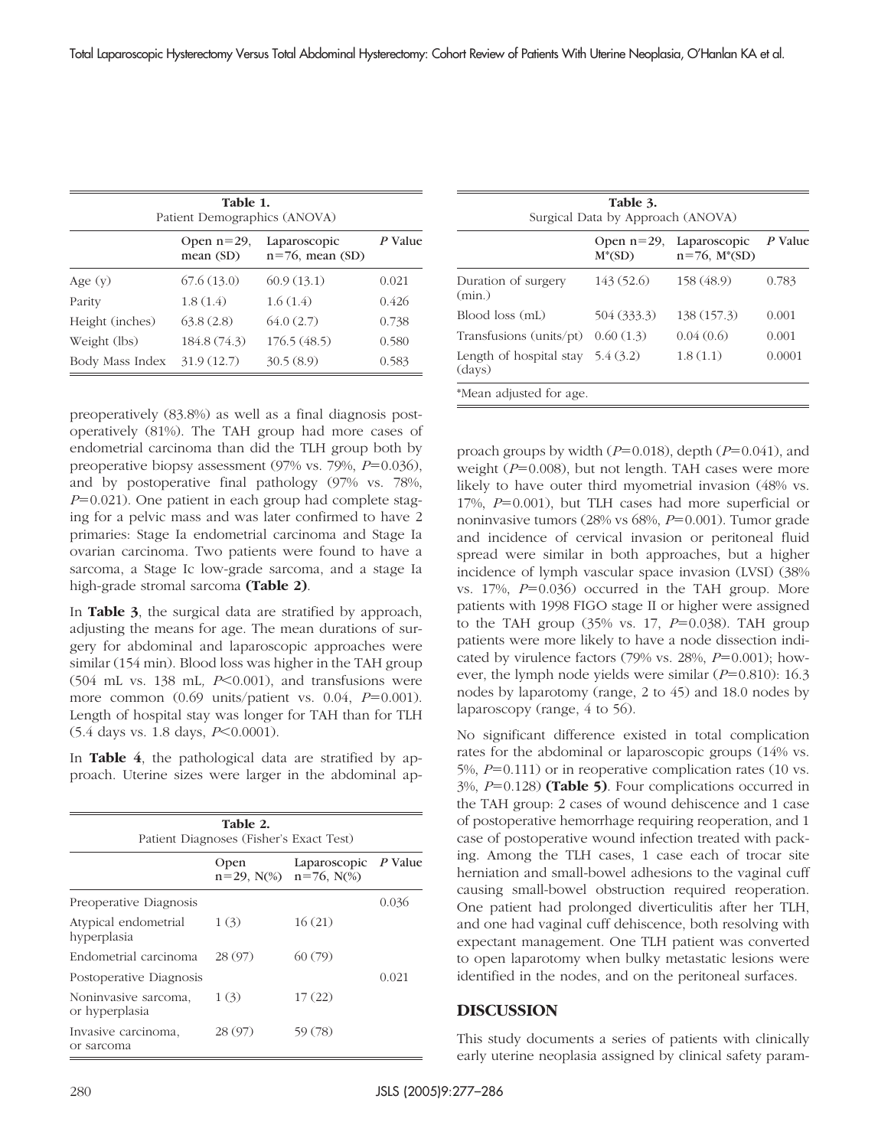| Table 1.<br>Patient Demographics (ANOVA) |              |             |       |  |  |
|------------------------------------------|--------------|-------------|-------|--|--|
|                                          |              |             |       |  |  |
| Age $(y)$                                | 67.6(13.0)   | 60.9(13.1)  | 0.021 |  |  |
| Parity                                   | 1.8(1.4)     | 1.6(1.4)    | 0.426 |  |  |
| Height (inches)                          | 63.8(2.8)    | 64.0(2.7)   | 0.738 |  |  |
| Weight (lbs)                             | 184.8 (74.3) | 176.5(48.5) | 0.580 |  |  |
| Body Mass Index                          | 31.9(12.7)   | 30.5(8.9)   | 0.583 |  |  |

preoperatively (83.8%) as well as a final diagnosis postoperatively (81%). The TAH group had more cases of endometrial carcinoma than did the TLH group both by preoperative biopsy assessment  $(97\% \text{ vs. } 79\%$ ,  $P=0.036$ ), and by postoperative final pathology (97% vs. 78%,  $P=0.021$ ). One patient in each group had complete staging for a pelvic mass and was later confirmed to have 2 primaries: Stage Ia endometrial carcinoma and Stage Ia ovarian carcinoma. Two patients were found to have a sarcoma, a Stage Ic low-grade sarcoma, and a stage Ia high-grade stromal sarcoma **(Table 2)**.

In **Table 3**, the surgical data are stratified by approach, adjusting the means for age. The mean durations of surgery for abdominal and laparoscopic approaches were similar (154 min). Blood loss was higher in the TAH group  $(504 \text{ mL vs. } 138 \text{ mL}, P \le 0.001)$ , and transfusions were more common  $(0.69 \text{ units/patient vs. } 0.04, P=0.001)$ . Length of hospital stay was longer for TAH than for TLH (5.4 days vs. 1.8 days, *P*<0.0001).

In **Table 4**, the pathological data are stratified by approach. Uterine sizes were larger in the abdominal ap-

| Table 2.<br>Patient Diagnoses (Fisher's Exact Test) |         |                                                       |       |  |
|-----------------------------------------------------|---------|-------------------------------------------------------|-------|--|
|                                                     | Open    | Laparoscopic $P$ Value<br>$n=29$ , N(%) $n=76$ , N(%) |       |  |
| Preoperative Diagnosis                              |         |                                                       | 0.036 |  |
| Atypical endometrial<br>hyperplasia                 | 1(3)    | 16(21)                                                |       |  |
| Endometrial carcinoma                               | 28 (97) | 60(79)                                                |       |  |
| Postoperative Diagnosis                             |         |                                                       | 0.021 |  |
| Noninvasive sarcoma,<br>or hyperplasia              | 1(3)    | 17(22)                                                |       |  |
| Invasive carcinoma,<br>or sarcoma                   | 28 (97) | 59 (78)                                               |       |  |

| Table 3.<br>Surgical Data by Approach (ANOVA) |                            |                                    |         |  |
|-----------------------------------------------|----------------------------|------------------------------------|---------|--|
|                                               | Open $n=29$ ,<br>$M^*(SD)$ | Laparoscopic<br>$n=76$ , $M^*(SD)$ | P Value |  |
| Duration of surgery<br>(min.)                 | 143 (52.6)                 | 158 (48.9)                         | 0.783   |  |
| Blood loss (mL)                               | 504 (333.3)                | 138 (157.3)                        | 0.001   |  |
| Transfusions (units/pt)                       | 0.60(1.3)                  | 0.04(0.6)                          | 0.001   |  |
| Length of hospital stay<br>(days)             | 5.4(3.2)                   | 1.8(1.1)                           | 0.0001  |  |
| *Mean adjusted for age.                       |                            |                                    |         |  |

proach groups by width  $(P=0.018)$ , depth  $(P=0.041)$ , and weight  $(P=0.008)$ , but not length. TAH cases were more likely to have outer third myometrial invasion (48% vs. 17%,  $P=0.001$ ), but TLH cases had more superficial or noninvasive tumors (28% vs  $68\%$ ,  $P=0.001$ ). Tumor grade and incidence of cervical invasion or peritoneal fluid spread were similar in both approaches, but a higher incidence of lymph vascular space invasion (LVSI) (38% vs.  $17\%$ ,  $P=0.036$ ) occurred in the TAH group. More patients with 1998 FIGO stage II or higher were assigned to the TAH group  $(35\% \text{ vs. } 17, P=0.038)$ . TAH group patients were more likely to have a node dissection indicated by virulence factors  $(79\% \text{ vs. } 28\%, P=0.001)$ ; however, the lymph node yields were similar  $(P=0.810)$ : 16.3 nodes by laparotomy (range, 2 to 45) and 18.0 nodes by laparoscopy (range, 4 to 56).

No significant difference existed in total complication rates for the abdominal or laparoscopic groups (14% vs. 5%,  $P=0.111$ ) or in reoperative complication rates (10 vs. 3%, *P*=0.128) (Table 5). Four complications occurred in the TAH group: 2 cases of wound dehiscence and 1 case of postoperative hemorrhage requiring reoperation, and 1 case of postoperative wound infection treated with packing. Among the TLH cases, 1 case each of trocar site herniation and small-bowel adhesions to the vaginal cuff causing small-bowel obstruction required reoperation. One patient had prolonged diverticulitis after her TLH, and one had vaginal cuff dehiscence, both resolving with expectant management. One TLH patient was converted to open laparotomy when bulky metastatic lesions were identified in the nodes, and on the peritoneal surfaces.

#### **DISCUSSION**

This study documents a series of patients with clinically early uterine neoplasia assigned by clinical safety param-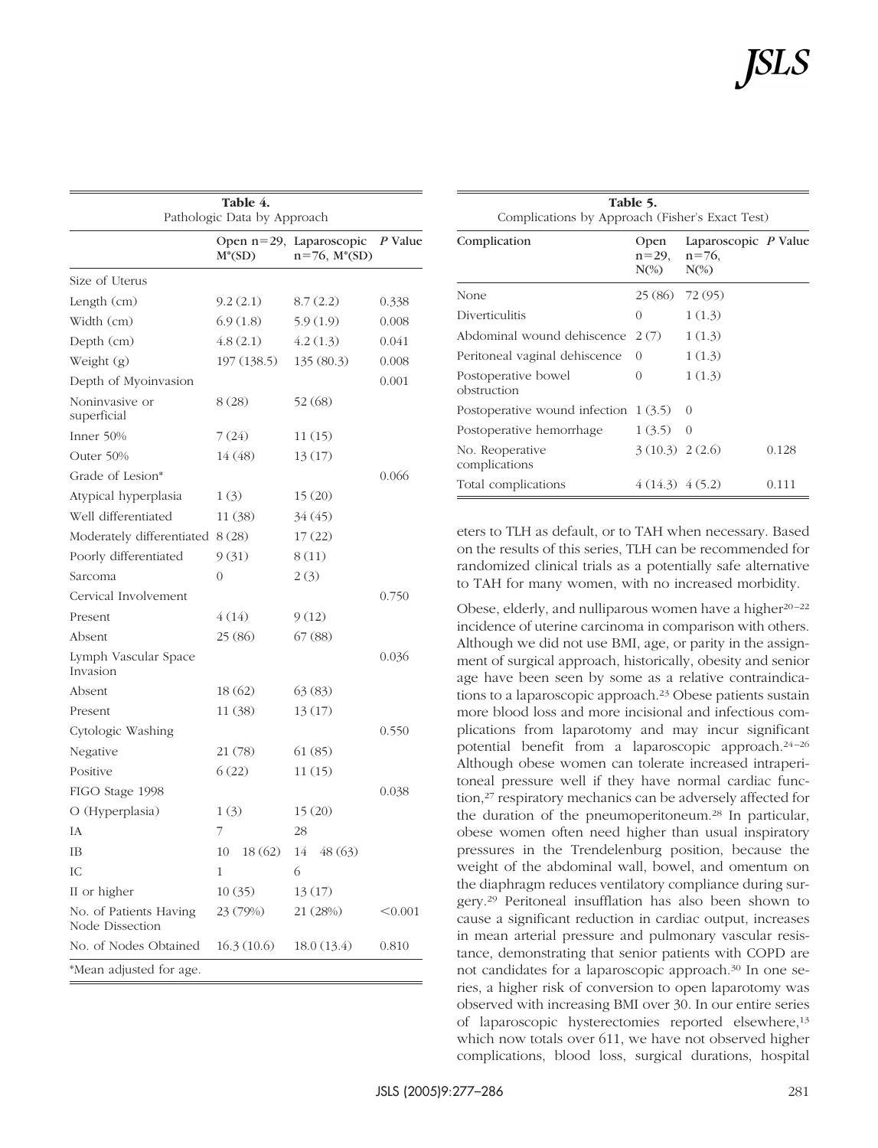| Table 4.<br>Pathologic Data by Approach   |              |                                               |         |  |
|-------------------------------------------|--------------|-----------------------------------------------|---------|--|
|                                           | $M^*(SD)$    | Open n=29, Laparoscopic<br>$n=76$ , $M^*(SD)$ | P Value |  |
| Size of Uterus                            |              |                                               |         |  |
| Length (cm)                               | 9.2(2.1)     | 8.7(2.2)                                      | 0.338   |  |
| Width (cm)                                | 6.9(1.8)     | 5.9(1.9)                                      | 0.008   |  |
| Depth (cm)                                | 4.8(2.1)     | 4.2(1.3)                                      | 0.041   |  |
| Weight (g)                                | 197(138.5)   | 135(80.3)                                     | 0.008   |  |
| Depth of Myoinvasion                      |              |                                               | 0.001   |  |
| Noninvasive or<br>superficial             | 8(28)        | 52 (68)                                       |         |  |
| Inner $50%$                               | 7 (24)       | 11(15)                                        |         |  |
| Outer 50%                                 | 14 (48)      | 13(17)                                        |         |  |
| Grade of Lesion*                          |              |                                               | 0.066   |  |
| Atypical hyperplasia                      | 1(3)         | 15(20)                                        |         |  |
| Well differentiated                       | 11(38)       | 34(45)                                        |         |  |
| Moderately differentiated 8 (28)          |              | 17(22)                                        |         |  |
| Poorly differentiated                     | 9(31)        | 8(11)                                         |         |  |
| Sarcoma                                   | 0            | 2(3)                                          |         |  |
| Cervical Involvement                      |              |                                               | 0.750   |  |
| Present                                   | 4(14)        | 9(12)                                         |         |  |
| Absent                                    | 25 (86)      | 67(88)                                        |         |  |
| Lymph Vascular Space<br>Invasion          |              |                                               | 0.036   |  |
| Absent                                    | 18(62)       | 63(83)                                        |         |  |
| Present                                   | 11(38)       | 13(17)                                        |         |  |
| Cytologic Washing                         |              |                                               | 0.550   |  |
| Negative                                  | 21 (78)      | 61(85)                                        |         |  |
| Positive                                  | 6(22)        | 11(15)                                        |         |  |
| FIGO Stage 1998                           |              |                                               | 0.038   |  |
| O (Hyperplasia)                           | 1(3)         | 15(20)                                        |         |  |
| IA                                        | 7            | 28                                            |         |  |
| ΙB                                        | 10<br>18(62) | 14<br>48(63)                                  |         |  |
| IC                                        | 1            | 6                                             |         |  |
| II or higher                              | 10(35)       | 13(17)                                        |         |  |
| No. of Patients Having<br>Node Dissection | 23 (79%)     | 21 (28%)                                      | < 0.001 |  |
| No. of Nodes Obtained                     | 16.3(10.6)   | 18.0(13.4)                                    | 0.810   |  |
| *Mean adjusted for age.                   |              |                                               |         |  |

| Table 5.<br>Complications by Approach (Fisher's Exact Test) |                                |                                                |       |  |  |
|-------------------------------------------------------------|--------------------------------|------------------------------------------------|-------|--|--|
| Complication                                                | Open<br>$n = 29$ ,<br>$N\ll 0$ | Laparoscopic P Value<br>$n = 76$ ,<br>$N\ll 0$ |       |  |  |
| None                                                        | 25 (86)                        | 72 (95)                                        |       |  |  |
| Diverticulitis                                              | $\Omega$                       | 1(1.3)                                         |       |  |  |
| Abdominal wound dehiscence                                  | 2(7)                           | 1(1.3)                                         |       |  |  |
| Peritoneal vaginal dehiscence                               | $\Omega$                       | 1(1.3)                                         |       |  |  |
| Postoperative bowel<br>obstruction                          | $\theta$                       | 1(1.3)                                         |       |  |  |
| Postoperative wound infection                               | 1(3.5)                         | $\Omega$                                       |       |  |  |
| Postoperative hemorrhage                                    | 1(3.5)                         | $\Omega$                                       |       |  |  |
| No. Reoperative<br>complications                            | $3(10.3)$ 2(2.6)               |                                                | 0.128 |  |  |
| Total complications                                         | 4(14.3) 4(5.2)                 |                                                | 0.111 |  |  |

eters to TLH as default, or to TAH when necessary. Based on the results of this series, TLH can be recommended for randomized clinical trials as a potentially safe alternative to TAH for many women, with no increased morbidity.

Obese, elderly, and nulliparous women have a higher<sup>20-22</sup> incidence of uterine carcinoma in comparison with others. Although we did not use BMI, age, or parity in the assignment of surgical approach, historically, obesity and senior age have been seen by some as a relative contraindications to a laparoscopic approach.23 Obese patients sustain more blood loss and more incisional and infectious complications from laparotomy and may incur significant potential benefit from a laparoscopic approach.<sup>24-26</sup> Although obese women can tolerate increased intraperitoneal pressure well if they have normal cardiac function,27 respiratory mechanics can be adversely affected for the duration of the pneumoperitoneum.<sup>28</sup> In particular, obese women often need higher than usual inspiratory pressures in the Trendelenburg position, because the weight of the abdominal wall, bowel, and omentum on the diaphragm reduces ventilatory compliance during surgery.29 Peritoneal insufflation has also been shown to cause a significant reduction in cardiac output, increases in mean arterial pressure and pulmonary vascular resistance, demonstrating that senior patients with COPD are not candidates for a laparoscopic approach.30 In one series, a higher risk of conversion to open laparotomy was observed with increasing BMI over 30. In our entire series of laparoscopic hysterectomies reported elsewhere,13 which now totals over 611, we have not observed higher complications, blood loss, surgical durations, hospital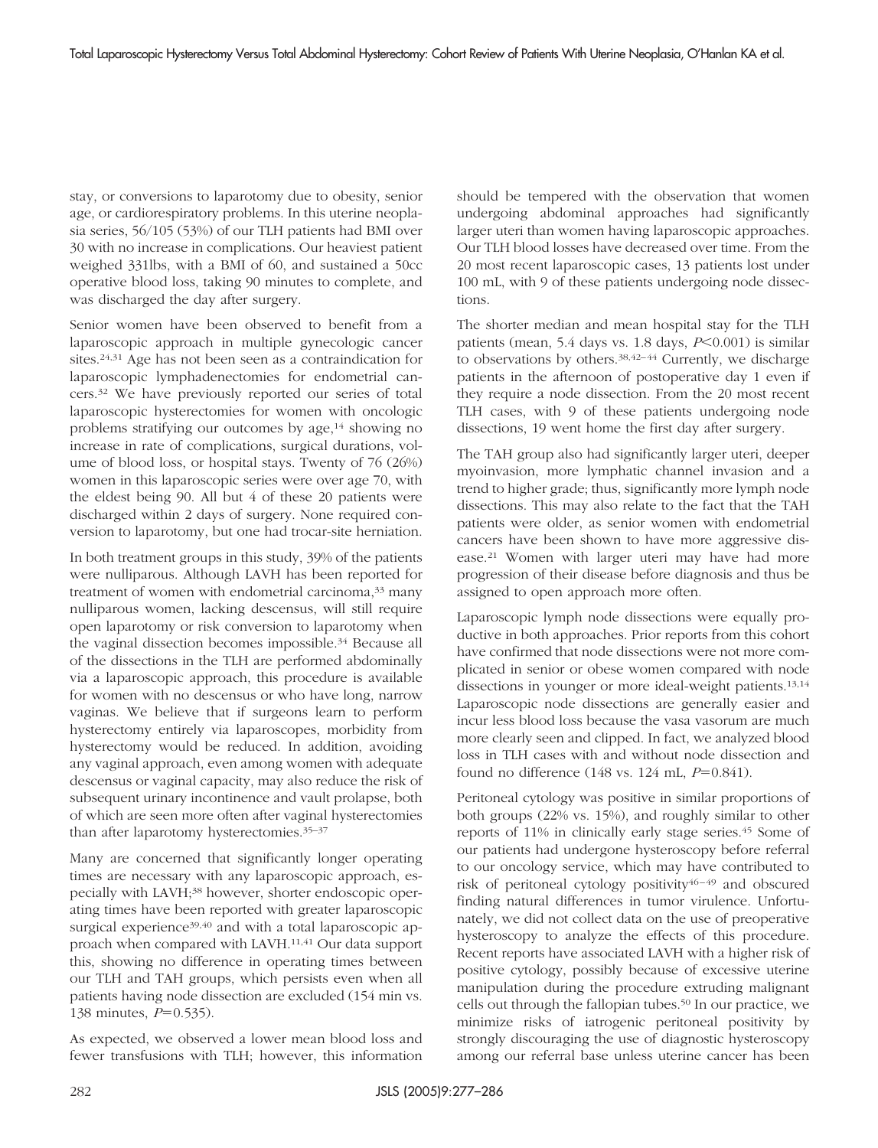stay, or conversions to laparotomy due to obesity, senior age, or cardiorespiratory problems. In this uterine neoplasia series, 56/105 (53%) of our TLH patients had BMI over 30 with no increase in complications. Our heaviest patient weighed 331lbs, with a BMI of 60, and sustained a 50cc operative blood loss, taking 90 minutes to complete, and was discharged the day after surgery.

Senior women have been observed to benefit from a laparoscopic approach in multiple gynecologic cancer sites.24,31 Age has not been seen as a contraindication for laparoscopic lymphadenectomies for endometrial cancers.32 We have previously reported our series of total laparoscopic hysterectomies for women with oncologic problems stratifying our outcomes by age,14 showing no increase in rate of complications, surgical durations, volume of blood loss, or hospital stays. Twenty of 76 (26%) women in this laparoscopic series were over age 70, with the eldest being 90. All but 4 of these 20 patients were discharged within 2 days of surgery. None required conversion to laparotomy, but one had trocar-site herniation.

In both treatment groups in this study, 39% of the patients were nulliparous. Although LAVH has been reported for treatment of women with endometrial carcinoma,<sup>33</sup> many nulliparous women, lacking descensus, will still require open laparotomy or risk conversion to laparotomy when the vaginal dissection becomes impossible.34 Because all of the dissections in the TLH are performed abdominally via a laparoscopic approach, this procedure is available for women with no descensus or who have long, narrow vaginas. We believe that if surgeons learn to perform hysterectomy entirely via laparoscopes, morbidity from hysterectomy would be reduced. In addition, avoiding any vaginal approach, even among women with adequate descensus or vaginal capacity, may also reduce the risk of subsequent urinary incontinence and vault prolapse, both of which are seen more often after vaginal hysterectomies than after laparotomy hysterectomies.35–37

Many are concerned that significantly longer operating times are necessary with any laparoscopic approach, especially with LAVH;<sup>38</sup> however, shorter endoscopic operating times have been reported with greater laparoscopic surgical experience<sup>39,40</sup> and with a total laparoscopic approach when compared with LAVH.11,41 Our data support this, showing no difference in operating times between our TLH and TAH groups, which persists even when all patients having node dissection are excluded (154 min vs. 138 minutes, *P*=0.535).

As expected, we observed a lower mean blood loss and fewer transfusions with TLH; however, this information should be tempered with the observation that women undergoing abdominal approaches had significantly larger uteri than women having laparoscopic approaches. Our TLH blood losses have decreased over time. From the 20 most recent laparoscopic cases, 13 patients lost under 100 mL, with 9 of these patients undergoing node dissections.

The shorter median and mean hospital stay for the TLH patients (mean, 5.4 days vs. 1.8 days, *P*<0.001) is similar to observations by others. $38,42-44$  Currently, we discharge patients in the afternoon of postoperative day 1 even if they require a node dissection. From the 20 most recent TLH cases, with 9 of these patients undergoing node dissections, 19 went home the first day after surgery.

The TAH group also had significantly larger uteri, deeper myoinvasion, more lymphatic channel invasion and a trend to higher grade; thus, significantly more lymph node dissections. This may also relate to the fact that the TAH patients were older, as senior women with endometrial cancers have been shown to have more aggressive disease.21 Women with larger uteri may have had more progression of their disease before diagnosis and thus be assigned to open approach more often.

Laparoscopic lymph node dissections were equally productive in both approaches. Prior reports from this cohort have confirmed that node dissections were not more complicated in senior or obese women compared with node dissections in younger or more ideal-weight patients.13,14 Laparoscopic node dissections are generally easier and incur less blood loss because the vasa vasorum are much more clearly seen and clipped. In fact, we analyzed blood loss in TLH cases with and without node dissection and found no difference  $(148 \text{ vs. } 124 \text{ mL}, P=0.841)$ .

Peritoneal cytology was positive in similar proportions of both groups (22% vs. 15%), and roughly similar to other reports of 11% in clinically early stage series.45 Some of our patients had undergone hysteroscopy before referral to our oncology service, which may have contributed to risk of peritoneal cytology positivity $46-49$  and obscured finding natural differences in tumor virulence. Unfortunately, we did not collect data on the use of preoperative hysteroscopy to analyze the effects of this procedure. Recent reports have associated LAVH with a higher risk of positive cytology, possibly because of excessive uterine manipulation during the procedure extruding malignant cells out through the fallopian tubes.50 In our practice, we minimize risks of iatrogenic peritoneal positivity by strongly discouraging the use of diagnostic hysteroscopy among our referral base unless uterine cancer has been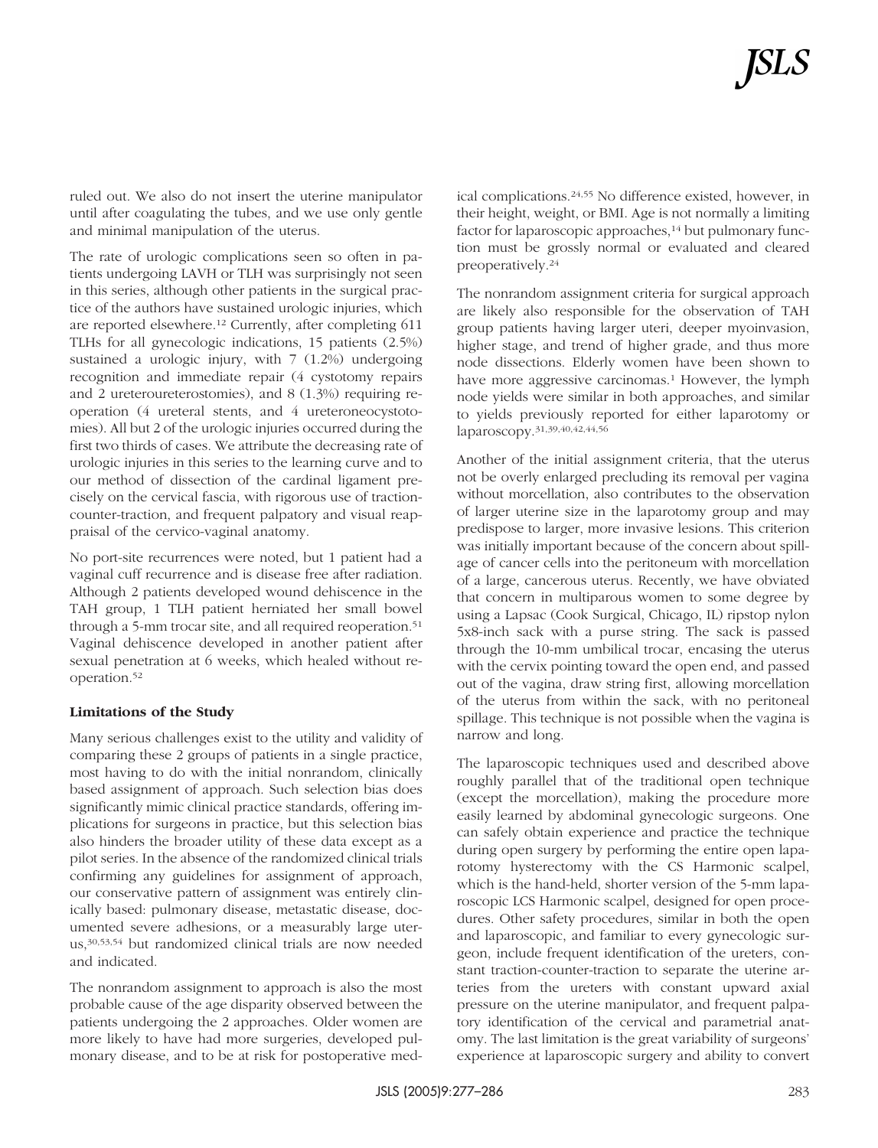ruled out. We also do not insert the uterine manipulator until after coagulating the tubes, and we use only gentle and minimal manipulation of the uterus.

The rate of urologic complications seen so often in patients undergoing LAVH or TLH was surprisingly not seen in this series, although other patients in the surgical practice of the authors have sustained urologic injuries, which are reported elsewhere.12 Currently, after completing 611 TLHs for all gynecologic indications, 15 patients (2.5%) sustained a urologic injury, with 7 (1.2%) undergoing recognition and immediate repair (4 cystotomy repairs and 2 ureteroureterostomies), and 8 (1.3%) requiring reoperation (4 ureteral stents, and 4 ureteroneocystotomies). All but 2 of the urologic injuries occurred during the first two thirds of cases. We attribute the decreasing rate of urologic injuries in this series to the learning curve and to our method of dissection of the cardinal ligament precisely on the cervical fascia, with rigorous use of tractioncounter-traction, and frequent palpatory and visual reappraisal of the cervico-vaginal anatomy.

No port-site recurrences were noted, but 1 patient had a vaginal cuff recurrence and is disease free after radiation. Although 2 patients developed wound dehiscence in the TAH group, 1 TLH patient herniated her small bowel through a 5-mm trocar site, and all required reoperation.<sup>51</sup> Vaginal dehiscence developed in another patient after sexual penetration at 6 weeks, which healed without reoperation.52

#### **Limitations of the Study**

Many serious challenges exist to the utility and validity of comparing these 2 groups of patients in a single practice, most having to do with the initial nonrandom, clinically based assignment of approach. Such selection bias does significantly mimic clinical practice standards, offering implications for surgeons in practice, but this selection bias also hinders the broader utility of these data except as a pilot series. In the absence of the randomized clinical trials confirming any guidelines for assignment of approach, our conservative pattern of assignment was entirely clinically based: pulmonary disease, metastatic disease, documented severe adhesions, or a measurably large uterus,30,53,54 but randomized clinical trials are now needed and indicated.

The nonrandom assignment to approach is also the most probable cause of the age disparity observed between the patients undergoing the 2 approaches. Older women are more likely to have had more surgeries, developed pulmonary disease, and to be at risk for postoperative medical complications.24,55 No difference existed, however, in their height, weight, or BMI. Age is not normally a limiting factor for laparoscopic approaches,<sup>14</sup> but pulmonary function must be grossly normal or evaluated and cleared preoperatively.24

The nonrandom assignment criteria for surgical approach are likely also responsible for the observation of TAH group patients having larger uteri, deeper myoinvasion, higher stage, and trend of higher grade, and thus more node dissections. Elderly women have been shown to have more aggressive carcinomas.<sup>1</sup> However, the lymph node yields were similar in both approaches, and similar to yields previously reported for either laparotomy or laparoscopy.31,39,40,42,44,56

Another of the initial assignment criteria, that the uterus not be overly enlarged precluding its removal per vagina without morcellation, also contributes to the observation of larger uterine size in the laparotomy group and may predispose to larger, more invasive lesions. This criterion was initially important because of the concern about spillage of cancer cells into the peritoneum with morcellation of a large, cancerous uterus. Recently, we have obviated that concern in multiparous women to some degree by using a Lapsac (Cook Surgical, Chicago, IL) ripstop nylon 5x8-inch sack with a purse string. The sack is passed through the 10-mm umbilical trocar, encasing the uterus with the cervix pointing toward the open end, and passed out of the vagina, draw string first, allowing morcellation of the uterus from within the sack, with no peritoneal spillage. This technique is not possible when the vagina is narrow and long.

The laparoscopic techniques used and described above roughly parallel that of the traditional open technique (except the morcellation), making the procedure more easily learned by abdominal gynecologic surgeons. One can safely obtain experience and practice the technique during open surgery by performing the entire open laparotomy hysterectomy with the CS Harmonic scalpel, which is the hand-held, shorter version of the 5-mm laparoscopic LCS Harmonic scalpel, designed for open procedures. Other safety procedures, similar in both the open and laparoscopic, and familiar to every gynecologic surgeon, include frequent identification of the ureters, constant traction-counter-traction to separate the uterine arteries from the ureters with constant upward axial pressure on the uterine manipulator, and frequent palpatory identification of the cervical and parametrial anatomy. The last limitation is the great variability of surgeons' experience at laparoscopic surgery and ability to convert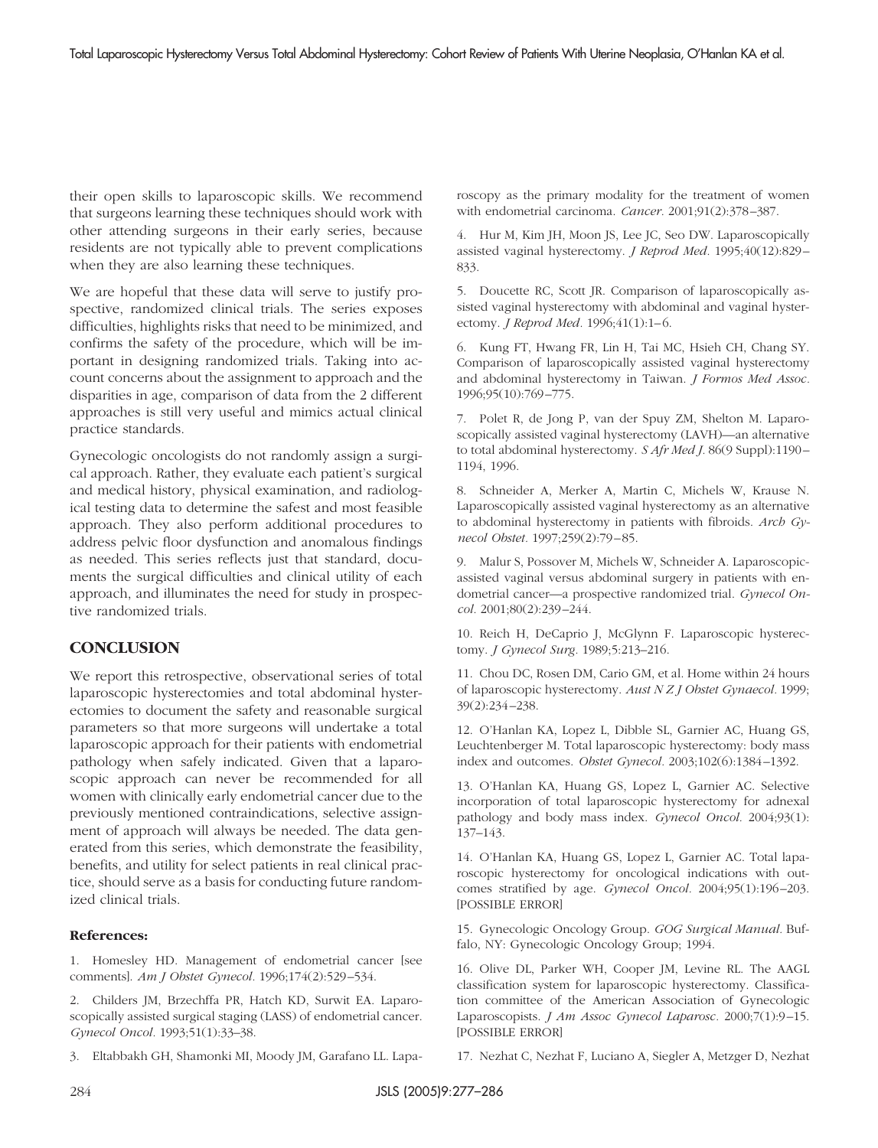their open skills to laparoscopic skills. We recommend that surgeons learning these techniques should work with other attending surgeons in their early series, because residents are not typically able to prevent complications when they are also learning these techniques.

We are hopeful that these data will serve to justify prospective, randomized clinical trials. The series exposes difficulties, highlights risks that need to be minimized, and confirms the safety of the procedure, which will be important in designing randomized trials. Taking into account concerns about the assignment to approach and the disparities in age, comparison of data from the 2 different approaches is still very useful and mimics actual clinical practice standards.

Gynecologic oncologists do not randomly assign a surgical approach. Rather, they evaluate each patient's surgical and medical history, physical examination, and radiological testing data to determine the safest and most feasible approach. They also perform additional procedures to address pelvic floor dysfunction and anomalous findings as needed. This series reflects just that standard, documents the surgical difficulties and clinical utility of each approach, and illuminates the need for study in prospective randomized trials.

## **CONCLUSION**

We report this retrospective, observational series of total laparoscopic hysterectomies and total abdominal hysterectomies to document the safety and reasonable surgical parameters so that more surgeons will undertake a total laparoscopic approach for their patients with endometrial pathology when safely indicated. Given that a laparoscopic approach can never be recommended for all women with clinically early endometrial cancer due to the previously mentioned contraindications, selective assignment of approach will always be needed. The data generated from this series, which demonstrate the feasibility, benefits, and utility for select patients in real clinical practice, should serve as a basis for conducting future randomized clinical trials.

#### **References:**

1. Homesley HD. Management of endometrial cancer [see comments]. *Am J Obstet Gynecol.* 1996;174(2):529 –534.

2. Childers JM, Brzechffa PR, Hatch KD, Surwit EA. Laparoscopically assisted surgical staging (LASS) of endometrial cancer. *Gynecol Oncol.* 1993;51(1):33–38.

3. Eltabbakh GH, Shamonki MI, Moody JM, Garafano LL. Lapa-

roscopy as the primary modality for the treatment of women with endometrial carcinoma. *Cancer.* 2001;91(2):378 –387.

4. Hur M, Kim JH, Moon JS, Lee JC, Seo DW. Laparoscopically assisted vaginal hysterectomy. *J Reprod Med.* 1995;40(12):829 – 833.

5. Doucette RC, Scott JR. Comparison of laparoscopically assisted vaginal hysterectomy with abdominal and vaginal hysterectomy. *J Reprod Med.* 1996;41(1):1-6.

6. Kung FT, Hwang FR, Lin H, Tai MC, Hsieh CH, Chang SY. Comparison of laparoscopically assisted vaginal hysterectomy and abdominal hysterectomy in Taiwan. *J Formos Med Assoc.* 1996;95(10):769 –775.

7. Polet R, de Jong P, van der Spuy ZM, Shelton M. Laparoscopically assisted vaginal hysterectomy (LAVH)—an alternative to total abdominal hysterectomy. *S Afr Med J.* 86(9 Suppl):1190 – 1194, 1996.

8. Schneider A, Merker A, Martin C, Michels W, Krause N. Laparoscopically assisted vaginal hysterectomy as an alternative to abdominal hysterectomy in patients with fibroids. *Arch Gynecol Obstet.* 1997;259(2):79 – 85.

9. Malur S, Possover M, Michels W, Schneider A. Laparoscopicassisted vaginal versus abdominal surgery in patients with endometrial cancer—a prospective randomized trial. *Gynecol Oncol.* 2001;80(2):239 –244.

10. Reich H, DeCaprio J, McGlynn F. Laparoscopic hysterectomy. *J Gynecol Surg.* 1989;5:213–216.

11. Chou DC, Rosen DM, Cario GM, et al. Home within 24 hours of laparoscopic hysterectomy. *Aust N Z J Obstet Gynaecol.* 1999; 39(2):234 –238.

12. O'Hanlan KA, Lopez L, Dibble SL, Garnier AC, Huang GS, Leuchtenberger M. Total laparoscopic hysterectomy: body mass index and outcomes. *Obstet Gynecol.* 2003;102(6):1384 –1392.

13. O'Hanlan KA, Huang GS, Lopez L, Garnier AC. Selective incorporation of total laparoscopic hysterectomy for adnexal pathology and body mass index. *Gynecol Oncol.* 2004;93(1): 137–143.

14. O'Hanlan KA, Huang GS, Lopez L, Garnier AC. Total laparoscopic hysterectomy for oncological indications with outcomes stratified by age. *Gynecol Oncol.* 2004;95(1):196-203. [POSSIBLE ERROR]

15. Gynecologic Oncology Group. *GOG Surgical Manual.* Buffalo, NY: Gynecologic Oncology Group; 1994.

16. Olive DL, Parker WH, Cooper JM, Levine RL. The AAGL classification system for laparoscopic hysterectomy. Classification committee of the American Association of Gynecologic Laparoscopists. *J Am Assoc Gynecol Laparosc.* 2000;7(1):9-15. [POSSIBLE ERROR]

17. Nezhat C, Nezhat F, Luciano A, Siegler A, Metzger D, Nezhat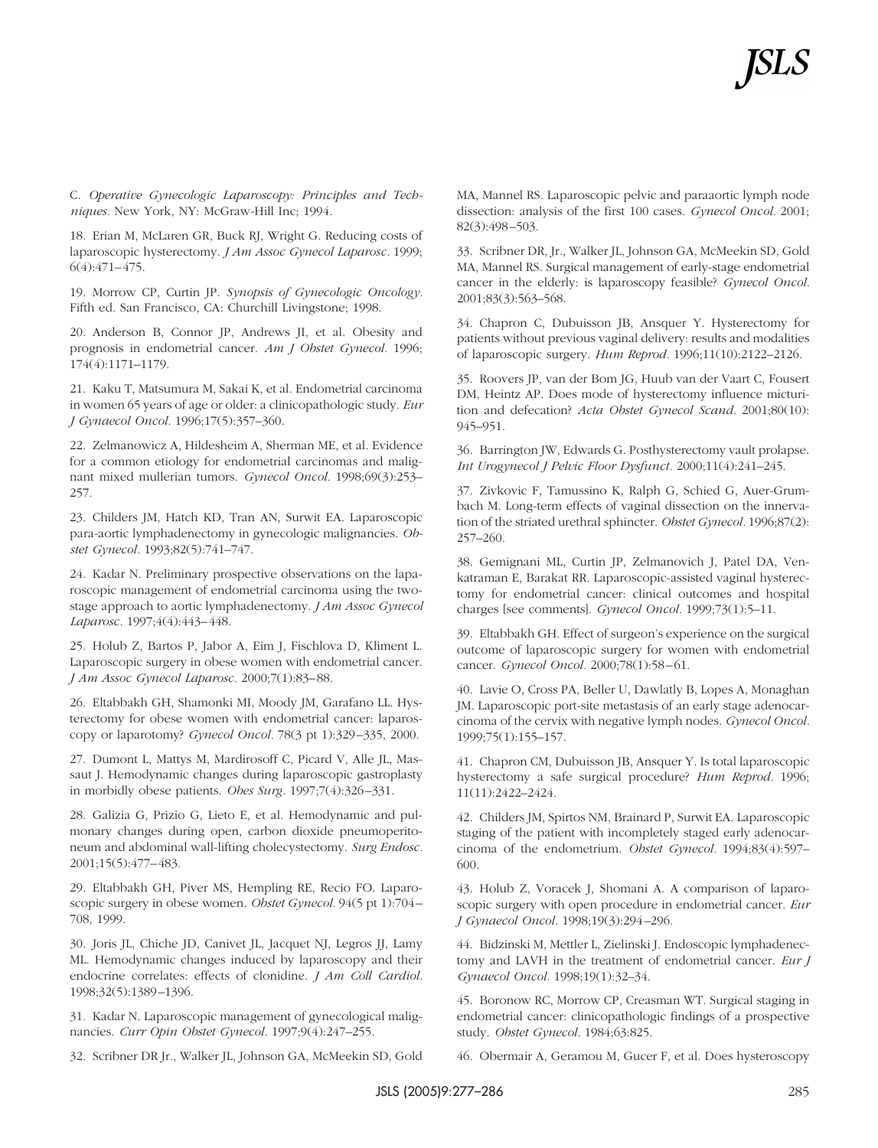C. *Operative Gynecologic Laparoscopy: Principles and Techniques.* New York, NY: McGraw-Hill Inc; 1994.

18. Erian M, McLaren GR, Buck RJ, Wright G. Reducing costs of laparoscopic hysterectomy. *J Am Assoc Gynecol Laparosc.* 1999;  $6(4):471-475.$ 

19. Morrow CP, Curtin JP. *Synopsis of Gynecologic Oncology.* Fifth ed. San Francisco, CA: Churchill Livingstone; 1998.

20. Anderson B, Connor JP, Andrews JI, et al. Obesity and prognosis in endometrial cancer. *Am J Obstet Gynecol.* 1996; 174(4):1171–1179.

21. Kaku T, Matsumura M, Sakai K, et al. Endometrial carcinoma in women 65 years of age or older: a clinicopathologic study. *Eur J Gynaecol Oncol.* 1996;17(5):357–360.

22. Zelmanowicz A, Hildesheim A, Sherman ME, et al. Evidence for a common etiology for endometrial carcinomas and malignant mixed mullerian tumors. *Gynecol Oncol.* 1998;69(3):253– 257.

23. Childers JM, Hatch KD, Tran AN, Surwit EA. Laparoscopic para-aortic lymphadenectomy in gynecologic malignancies. *Obstet Gynecol.* 1993;82(5):741–747.

24. Kadar N. Preliminary prospective observations on the laparoscopic management of endometrial carcinoma using the twostage approach to aortic lymphadenectomy. *J Am Assoc Gynecol Laparosc.* 1997;4(4):443– 448.

25. Holub Z, Bartos P, Jabor A, Eim J, Fischlova D, Kliment L. Laparoscopic surgery in obese women with endometrial cancer. *J Am Assoc Gynecol Laparosc.* 2000;7(1):83– 88.

26. Eltabbakh GH, Shamonki MI, Moody JM, Garafano LL. Hysterectomy for obese women with endometrial cancer: laparoscopy or laparotomy? *Gynecol Oncol.* 78(3 pt 1):329 –335, 2000.

27. Dumont L, Mattys M, Mardirosoff C, Picard V, Alle JL, Massaut J. Hemodynamic changes during laparoscopic gastroplasty in morbidly obese patients. *Obes Surg.* 1997;7(4):326 –331.

28. Galizia G, Prizio G, Lieto E, et al. Hemodynamic and pulmonary changes during open, carbon dioxide pneumoperitoneum and abdominal wall-lifting cholecystectomy. *Surg Endosc.* 2001;15(5):477– 483.

29. Eltabbakh GH, Piver MS, Hempling RE, Recio FO. Laparoscopic surgery in obese women. *Obstet Gynecol.* 94(5 pt 1):704 – 708, 1999.

30. Joris JL, Chiche JD, Canivet JL, Jacquet NJ, Legros JJ, Lamy ML. Hemodynamic changes induced by laparoscopy and their endocrine correlates: effects of clonidine. *J Am Coll Cardiol.* 1998;32(5):1389 –1396.

31. Kadar N. Laparoscopic management of gynecological malignancies. *Curr Opin Obstet Gynecol.* 1997;9(4):247–255.

32. Scribner DR Jr., Walker JL, Johnson GA, McMeekin SD, Gold

MA, Mannel RS. Laparoscopic pelvic and paraaortic lymph node dissection: analysis of the first 100 cases. *Gynecol Oncol.* 2001; 82(3):498 –503.

33. Scribner DR, Jr., Walker JL, Johnson GA, McMeekin SD, Gold MA, Mannel RS. Surgical management of early-stage endometrial cancer in the elderly: is laparoscopy feasible? *Gynecol Oncol.* 2001;83(3):563–568.

34. Chapron C, Dubuisson JB, Ansquer Y. Hysterectomy for patients without previous vaginal delivery: results and modalities of laparoscopic surgery. *Hum Reprod.* 1996;11(10):2122–2126.

35. Roovers JP, van der Bom JG, Huub van der Vaart C, Fousert DM, Heintz AP. Does mode of hysterectomy influence micturition and defecation? *Acta Obstet Gynecol Scand.* 2001;80(10): 945–951.

36. Barrington JW, Edwards G. Posthysterectomy vault prolapse. *Int Urogynecol J Pelvic Floor Dysfunct.* 2000;11(4):241–245.

37. Zivkovic F, Tamussino K, Ralph G, Schied G, Auer-Grumbach M. Long-term effects of vaginal dissection on the innervation of the striated urethral sphincter. *Obstet Gynecol.* 1996;87(2): 257–260.

38. Gemignani ML, Curtin JP, Zelmanovich J, Patel DA, Venkatraman E, Barakat RR. Laparoscopic-assisted vaginal hysterectomy for endometrial cancer: clinical outcomes and hospital charges [see comments]. *Gynecol Oncol.* 1999;73(1):5–11.

39. Eltabbakh GH. Effect of surgeon's experience on the surgical outcome of laparoscopic surgery for women with endometrial cancer. *Gynecol Oncol.* 2000;78(1):58-61.

40. Lavie O, Cross PA, Beller U, Dawlatly B, Lopes A, Monaghan JM. Laparoscopic port-site metastasis of an early stage adenocarcinoma of the cervix with negative lymph nodes. *Gynecol Oncol.* 1999;75(1):155–157.

41. Chapron CM, Dubuisson JB, Ansquer Y. Is total laparoscopic hysterectomy a safe surgical procedure? *Hum Reprod.* 1996; 11(11):2422–2424.

42. Childers JM, Spirtos NM, Brainard P, Surwit EA. Laparoscopic staging of the patient with incompletely staged early adenocarcinoma of the endometrium. *Obstet Gynecol.* 1994;83(4):597– 600.

43. Holub Z, Voracek J, Shomani A. A comparison of laparoscopic surgery with open procedure in endometrial cancer. *Eur J Gynaecol Oncol.* 1998;19(3):294 –296.

44. Bidzinski M, Mettler L, Zielinski J. Endoscopic lymphadenectomy and LAVH in the treatment of endometrial cancer. *Eur J Gynaecol Oncol.* 1998;19(1):32–34.

45. Boronow RC, Morrow CP, Creasman WT. Surgical staging in endometrial cancer: clinicopathologic findings of a prospective study. *Obstet Gynecol.* 1984;63:825.

46. Obermair A, Geramou M, Gucer F, et al. Does hysteroscopy